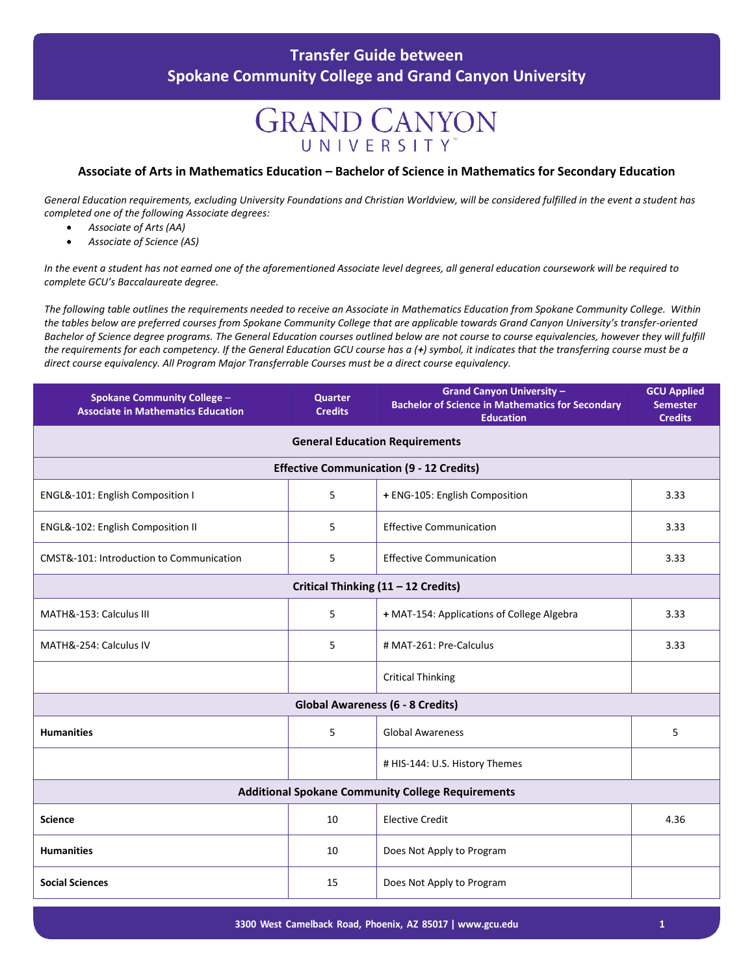## **GRAND CANYON** UNIVERSITY

#### **Associate of Arts in Mathematics Education – Bachelor of Science in Mathematics for Secondary Education**

*General Education requirements, excluding University Foundations and Christian Worldview, will be considered fulfilled in the event a student has completed one of the following Associate degrees:*

- *Associate of Arts (AA)*
- *Associate of Science (AS)*

*In the event a student has not earned one of the aforementioned Associate level degrees, all general education coursework will be required to complete GCU's Baccalaureate degree.*

*The following table outlines the requirements needed to receive an Associate in Mathematics Education from Spokane Community College. Within the tables below are preferred courses from Spokane Community College that are applicable towards Grand Canyon University's transfer-oriented Bachelor of Science degree programs. The General Education courses outlined below are not course to course equivalencies, however they will fulfill the requirements for each competency. If the General Education GCU course has a (+) symbol, it indicates that the transferring course must be a direct course equivalency. All Program Major Transferrable Courses must be a direct course equivalency.*

| <b>Spokane Community College -</b><br><b>Associate in Mathematics Education</b> | <b>Quarter</b><br><b>Credits</b> | <b>Grand Canyon University -</b><br><b>Bachelor of Science in Mathematics for Secondary</b><br><b>Education</b> | <b>GCU Applied</b><br><b>Semester</b><br><b>Credits</b> |  |  |
|---------------------------------------------------------------------------------|----------------------------------|-----------------------------------------------------------------------------------------------------------------|---------------------------------------------------------|--|--|
|                                                                                 |                                  | <b>General Education Requirements</b>                                                                           |                                                         |  |  |
| <b>Effective Communication (9 - 12 Credits)</b>                                 |                                  |                                                                                                                 |                                                         |  |  |
| ENGL&-101: English Composition I                                                | 5                                | + ENG-105: English Composition                                                                                  | 3.33                                                    |  |  |
| ENGL&-102: English Composition II                                               | 5                                | <b>Effective Communication</b>                                                                                  | 3.33                                                    |  |  |
| CMST&-101: Introduction to Communication                                        | 5                                | <b>Effective Communication</b>                                                                                  | 3.33                                                    |  |  |
| Critical Thinking (11 - 12 Credits)                                             |                                  |                                                                                                                 |                                                         |  |  |
| MATH&-153: Calculus III                                                         | 5                                | + MAT-154: Applications of College Algebra                                                                      | 3.33                                                    |  |  |
| MATH&-254: Calculus IV                                                          | 5                                | # MAT-261: Pre-Calculus                                                                                         | 3.33                                                    |  |  |
|                                                                                 |                                  | <b>Critical Thinking</b>                                                                                        |                                                         |  |  |
| <b>Global Awareness (6 - 8 Credits)</b>                                         |                                  |                                                                                                                 |                                                         |  |  |
| <b>Humanities</b>                                                               | 5                                | <b>Global Awareness</b>                                                                                         | 5                                                       |  |  |
|                                                                                 |                                  | # HIS-144: U.S. History Themes                                                                                  |                                                         |  |  |
| <b>Additional Spokane Community College Requirements</b>                        |                                  |                                                                                                                 |                                                         |  |  |
| <b>Science</b>                                                                  | 10                               | <b>Elective Credit</b>                                                                                          | 4.36                                                    |  |  |
| <b>Humanities</b>                                                               | 10                               | Does Not Apply to Program                                                                                       |                                                         |  |  |
| <b>Social Sciences</b>                                                          | 15                               | Does Not Apply to Program                                                                                       |                                                         |  |  |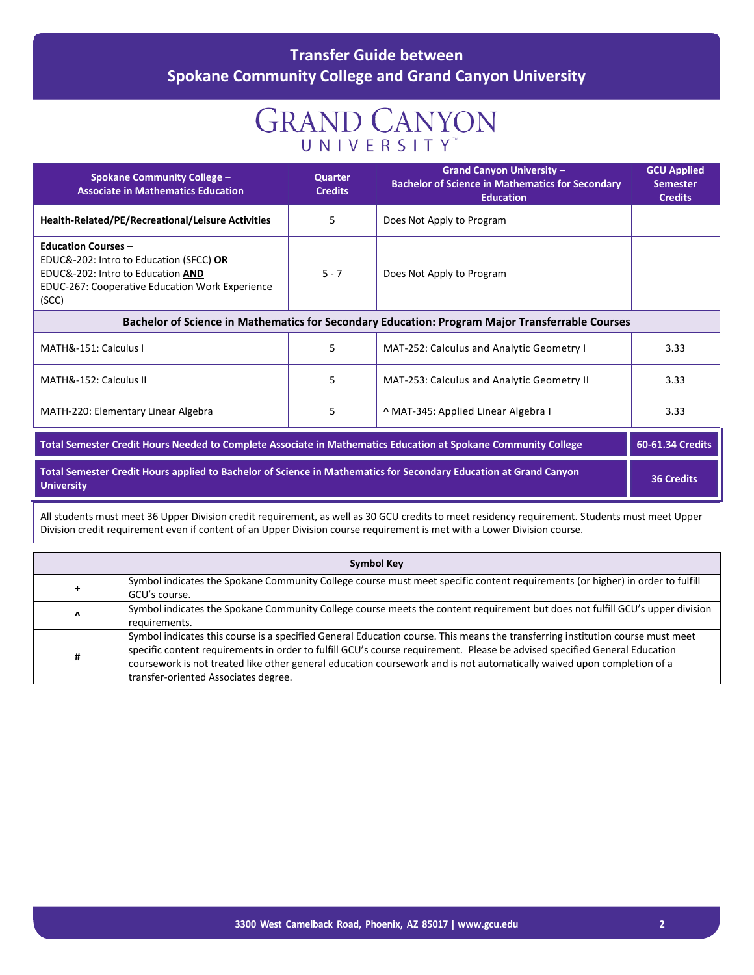## **GRAND CANYON UNIVERSITY**

| <b>Spokane Community College -</b><br><b>Associate in Mathematics Education</b>                                                                                               | <b>Quarter</b><br><b>Credits</b> | <b>Grand Canyon University -</b><br><b>Bachelor of Science in Mathematics for Secondary</b><br><b>Education</b> | <b>GCU Applied</b><br><b>Semester</b><br><b>Credits</b> |  |
|-------------------------------------------------------------------------------------------------------------------------------------------------------------------------------|----------------------------------|-----------------------------------------------------------------------------------------------------------------|---------------------------------------------------------|--|
| Health-Related/PE/Recreational/Leisure Activities                                                                                                                             | 5                                | Does Not Apply to Program                                                                                       |                                                         |  |
| <b>Education Courses -</b><br>EDUC&-202: Intro to Education (SFCC) OR<br>EDUC&-202: Intro to Education AND<br><b>EDUC-267: Cooperative Education Work Experience</b><br>(SCC) | $5 - 7$                          | Does Not Apply to Program                                                                                       |                                                         |  |
| Bachelor of Science in Mathematics for Secondary Education: Program Major Transferrable Courses                                                                               |                                  |                                                                                                                 |                                                         |  |
| MATH&-151: Calculus I                                                                                                                                                         | 5                                | <b>MAT-252: Calculus and Analytic Geometry I</b>                                                                | 3.33                                                    |  |
| MATH&-152: Calculus II                                                                                                                                                        | 5                                | MAT-253: Calculus and Analytic Geometry II                                                                      | 3.33                                                    |  |
| MATH-220: Elementary Linear Algebra                                                                                                                                           | 5                                | A MAT-345: Applied Linear Algebra I                                                                             | 3.33                                                    |  |
| Total Semester Credit Hours Needed to Complete Associate in Mathematics Education at Spokane Community College                                                                |                                  |                                                                                                                 | 60-61.34 Credits                                        |  |
| Total Semester Credit Hours applied to Bachelor of Science in Mathematics for Secondary Education at Grand Canyon<br><b>University</b>                                        |                                  |                                                                                                                 | <b>36 Credits</b>                                       |  |

All students must meet 36 Upper Division credit requirement, as well as 30 GCU credits to meet residency requirement. Students must meet Upper Division credit requirement even if content of an Upper Division course requirement is met with a Lower Division course.

|   | <b>Symbol Key</b>                                                                                                                                                                                                                                                                                                                                                                                                             |
|---|-------------------------------------------------------------------------------------------------------------------------------------------------------------------------------------------------------------------------------------------------------------------------------------------------------------------------------------------------------------------------------------------------------------------------------|
|   | Symbol indicates the Spokane Community College course must meet specific content requirements (or higher) in order to fulfill<br>GCU's course.                                                                                                                                                                                                                                                                                |
| Λ | Symbol indicates the Spokane Community College course meets the content requirement but does not fulfill GCU's upper division<br>requirements.                                                                                                                                                                                                                                                                                |
| # | Symbol indicates this course is a specified General Education course. This means the transferring institution course must meet<br>specific content requirements in order to fulfill GCU's course requirement. Please be advised specified General Education<br>coursework is not treated like other general education coursework and is not automatically waived upon completion of a<br>transfer-oriented Associates degree. |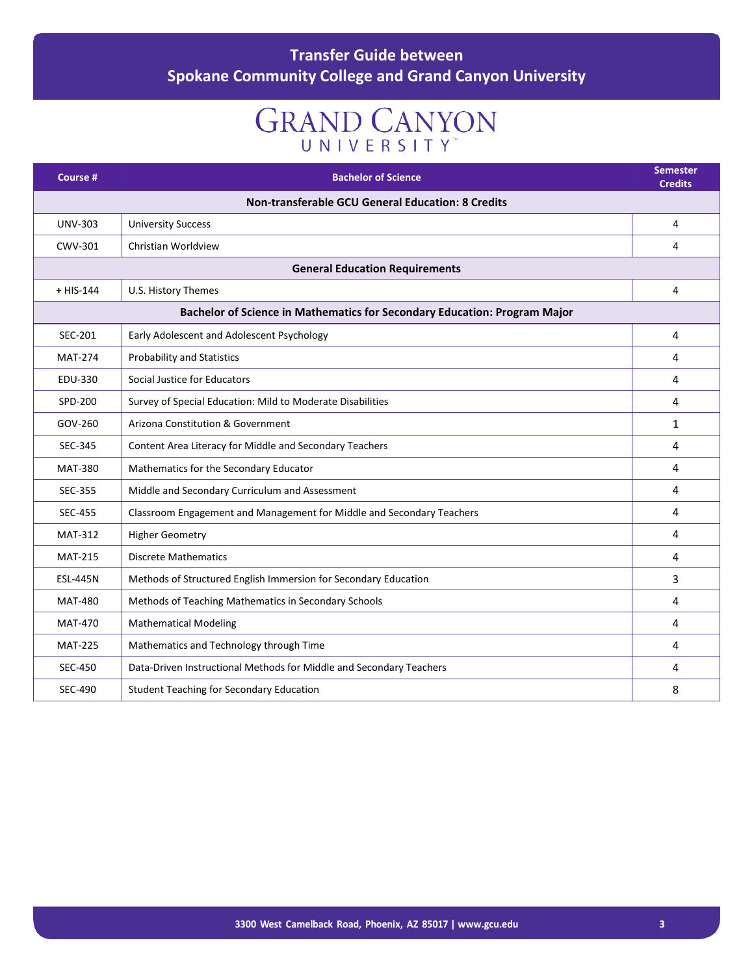# **GRAND CANYON**

| Course #                                                 | <b>Bachelor of Science</b>                                                | <b>Semester</b><br><b>Credits</b> |
|----------------------------------------------------------|---------------------------------------------------------------------------|-----------------------------------|
| <b>Non-transferable GCU General Education: 8 Credits</b> |                                                                           |                                   |
| <b>UNV-303</b>                                           | <b>University Success</b>                                                 | 4                                 |
| CWV-301                                                  | Christian Worldview                                                       | 4                                 |
|                                                          | <b>General Education Requirements</b>                                     |                                   |
| $+$ HIS-144                                              | U.S. History Themes                                                       | $\overline{4}$                    |
|                                                          | Bachelor of Science in Mathematics for Secondary Education: Program Major |                                   |
| SEC-201                                                  | Early Adolescent and Adolescent Psychology                                | 4                                 |
| <b>MAT-274</b>                                           | <b>Probability and Statistics</b>                                         | 4                                 |
| EDU-330                                                  | Social Justice for Educators                                              | 4                                 |
| SPD-200                                                  | Survey of Special Education: Mild to Moderate Disabilities                | 4                                 |
| GOV-260                                                  | Arizona Constitution & Government                                         | $\mathbf{1}$                      |
| SEC-345                                                  | Content Area Literacy for Middle and Secondary Teachers                   | 4                                 |
| <b>MAT-380</b>                                           | Mathematics for the Secondary Educator                                    | 4                                 |
| <b>SEC-355</b>                                           | Middle and Secondary Curriculum and Assessment                            | 4                                 |
| <b>SEC-455</b>                                           | Classroom Engagement and Management for Middle and Secondary Teachers     | 4                                 |
| <b>MAT-312</b>                                           | <b>Higher Geometry</b>                                                    | 4                                 |
| <b>MAT-215</b>                                           | <b>Discrete Mathematics</b>                                               | 4                                 |
| <b>ESL-445N</b>                                          | Methods of Structured English Immersion for Secondary Education           | 3                                 |
| <b>MAT-480</b>                                           | Methods of Teaching Mathematics in Secondary Schools                      | 4                                 |
| <b>MAT-470</b>                                           | <b>Mathematical Modeling</b>                                              | 4                                 |
| <b>MAT-225</b>                                           | Mathematics and Technology through Time                                   | 4                                 |
| <b>SEC-450</b>                                           | Data-Driven Instructional Methods for Middle and Secondary Teachers       | 4                                 |
| <b>SEC-490</b>                                           | <b>Student Teaching for Secondary Education</b>                           | 8                                 |